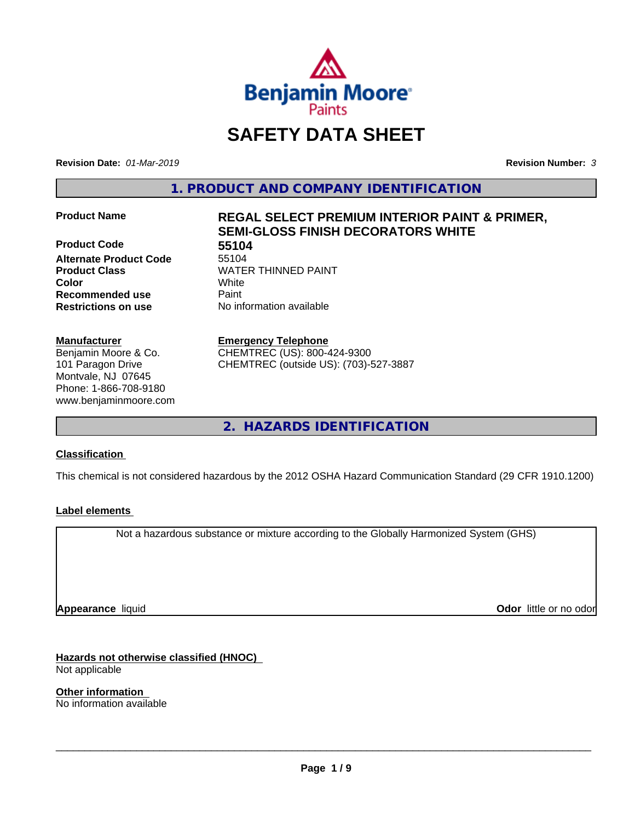

# **SAFETY DATA SHEET**

**Revision Date:** *01-Mar-2019* **Revision Number:** *3*

**1. PRODUCT AND COMPANY IDENTIFICATION**

**Product Code 55104**<br> **Alternate Product Code** 55104 **Alternate Product Code Product Class WATER THINNED PAINT Recommended use** Paint **Restrictions on use** No information available

#### **Manufacturer**

Benjamin Moore & Co. 101 Paragon Drive Montvale, NJ 07645 Phone: 1-866-708-9180 www.benjaminmoore.com

# **Product Name REGAL SELECT PREMIUM INTERIOR PAINT & PRIMER, SEMI-GLOSS FINISH DECORATORS WHITE**

**Color** White

**Emergency Telephone**

CHEMTREC (US): 800-424-9300 CHEMTREC (outside US): (703)-527-3887

**2. HAZARDS IDENTIFICATION**

#### **Classification**

This chemical is not considered hazardous by the 2012 OSHA Hazard Communication Standard (29 CFR 1910.1200)

#### **Label elements**

Not a hazardous substance or mixture according to the Globally Harmonized System (GHS)

**Appearance** liquid

**Odor** little or no odor

**Hazards not otherwise classified (HNOC)** Not applicable

**Other information** No information available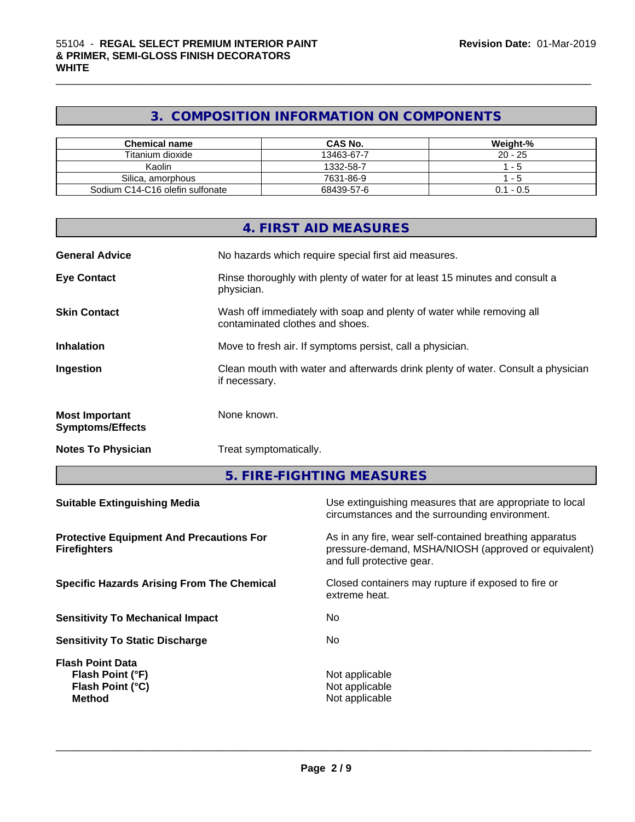# **3. COMPOSITION INFORMATION ON COMPONENTS**

| <b>Chemical name</b>            | <b>CAS No.</b> | Weight-%  |
|---------------------------------|----------------|-----------|
| Titanium dioxide                | 13463-67-7     | $20 - 25$ |
| Kaolin                          | 1332-58-7      | - 5       |
| Silica, amorphous               | 7631-86-9      | - 5       |
| Sodium C14-C16 olefin sulfonate | 68439-57-6     | 0.1 - 0.5 |

|                                                                                  |                                                                                                   | <b>4. FIRST AID MEASURES</b>                                                                                                                 |  |
|----------------------------------------------------------------------------------|---------------------------------------------------------------------------------------------------|----------------------------------------------------------------------------------------------------------------------------------------------|--|
| <b>General Advice</b>                                                            | No hazards which require special first aid measures.                                              |                                                                                                                                              |  |
| <b>Eye Contact</b>                                                               | physician.                                                                                        | Rinse thoroughly with plenty of water for at least 15 minutes and consult a                                                                  |  |
| <b>Skin Contact</b>                                                              |                                                                                                   | Wash off immediately with soap and plenty of water while removing all<br>contaminated clothes and shoes.                                     |  |
| <b>Inhalation</b>                                                                |                                                                                                   | Move to fresh air. If symptoms persist, call a physician.                                                                                    |  |
| Ingestion                                                                        | Clean mouth with water and afterwards drink plenty of water. Consult a physician<br>if necessary. |                                                                                                                                              |  |
| <b>Most Important</b><br><b>Symptoms/Effects</b>                                 | None known.                                                                                       |                                                                                                                                              |  |
| <b>Notes To Physician</b>                                                        |                                                                                                   | Treat symptomatically.                                                                                                                       |  |
|                                                                                  |                                                                                                   | 5. FIRE-FIGHTING MEASURES                                                                                                                    |  |
| <b>Suitable Extinguishing Media</b>                                              |                                                                                                   | Use extinguishing measures that are appropriate to local<br>circumstances and the surrounding environment.                                   |  |
| <b>Protective Equipment And Precautions For</b><br><b>Firefighters</b>           |                                                                                                   | As in any fire, wear self-contained breathing apparatus<br>pressure-demand, MSHA/NIOSH (approved or equivalent)<br>and full protective gear. |  |
| <b>Specific Hazards Arising From The Chemical</b>                                |                                                                                                   | Closed containers may rupture if exposed to fire or<br>extreme heat.                                                                         |  |
| <b>Sensitivity To Mechanical Impact</b>                                          |                                                                                                   | No                                                                                                                                           |  |
| <b>Sensitivity To Static Discharge</b>                                           |                                                                                                   | No                                                                                                                                           |  |
| <b>Flash Point Data</b><br>Flash Point (°F)<br>Flash Point (°C)<br><b>Method</b> |                                                                                                   | Not applicable<br>Not applicable<br>Not applicable                                                                                           |  |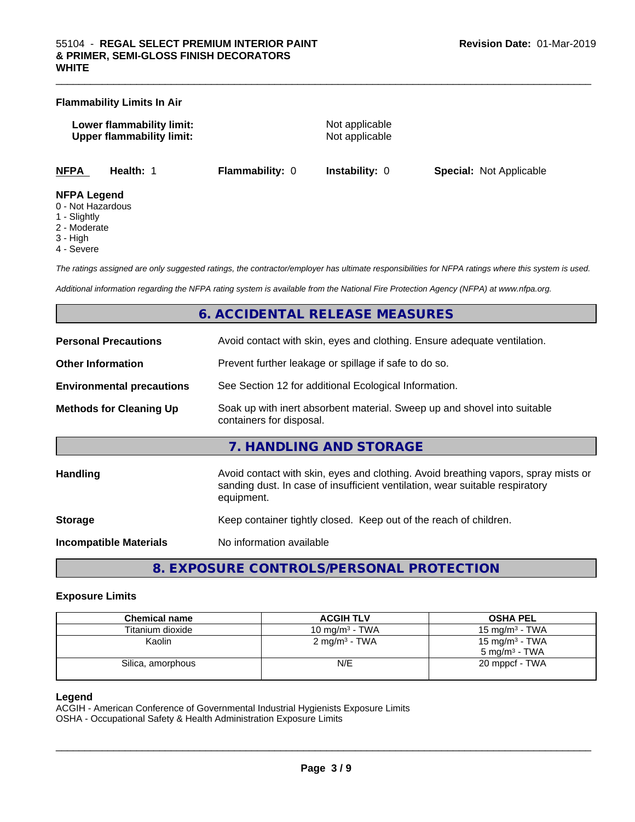# **Lower flammability limit:** Not applicable **Upper flammability limit:** Not applicable **NFPA Health:** 1 **Flammability:** 0 **Instability:** 0 **Special:** Not Applicable **NFPA Legend**

 $\_$  ,  $\_$  ,  $\_$  ,  $\_$  ,  $\_$  ,  $\_$  ,  $\_$  ,  $\_$  ,  $\_$  ,  $\_$  ,  $\_$  ,  $\_$  ,  $\_$  ,  $\_$  ,  $\_$  ,  $\_$  ,  $\_$  ,  $\_$  ,  $\_$  ,  $\_$  ,  $\_$  ,  $\_$  ,  $\_$  ,  $\_$  ,  $\_$  ,  $\_$  ,  $\_$  ,  $\_$  ,  $\_$  ,  $\_$  ,  $\_$  ,  $\_$  ,  $\_$  ,  $\_$  ,  $\_$  ,  $\_$  ,  $\_$  ,

0 - Not Hazardous

**Flammability Limits In Air**

- 1 Slightly
- 2 Moderate
- 3 High
- 4 Severe

*The ratings assigned are only suggested ratings, the contractor/employer has ultimate responsibilities for NFPA ratings where this system is used.*

*Additional information regarding the NFPA rating system is available from the National Fire Protection Agency (NFPA) at www.nfpa.org.*

### **6. ACCIDENTAL RELEASE MEASURES**

| <b>Personal Precautions</b>      | Avoid contact with skin, eyes and clothing. Ensure adequate ventilation.                                                                                                         |
|----------------------------------|----------------------------------------------------------------------------------------------------------------------------------------------------------------------------------|
| <b>Other Information</b>         | Prevent further leakage or spillage if safe to do so.                                                                                                                            |
| <b>Environmental precautions</b> | See Section 12 for additional Ecological Information.                                                                                                                            |
| <b>Methods for Cleaning Up</b>   | Soak up with inert absorbent material. Sweep up and shovel into suitable<br>containers for disposal.                                                                             |
|                                  | 7. HANDLING AND STORAGE                                                                                                                                                          |
| Handling                         | Avoid contact with skin, eyes and clothing. Avoid breathing vapors, spray mists or<br>sanding dust. In case of insufficient ventilation, wear suitable respiratory<br>equipment. |
| <b>Storage</b>                   | Keep container tightly closed. Keep out of the reach of children.                                                                                                                |
| <b>Incompatible Materials</b>    | No information available                                                                                                                                                         |
|                                  |                                                                                                                                                                                  |

**8. EXPOSURE CONTROLS/PERSONAL PROTECTION**

#### **Exposure Limits**

| <b>Chemical name</b> | <b>ACGIH TLV</b>           | <b>OSHA PEL</b>          |
|----------------------|----------------------------|--------------------------|
| Titanium dioxide     | 10 mg/m <sup>3</sup> - TWA | 15 mg/m $3$ - TWA        |
| Kaolin               | 2 mg/m <sup>3</sup> - TWA  | 15 mg/m $3$ - TWA        |
|                      |                            | $5 \text{ ma/m}^3$ - TWA |
| Silica, amorphous    | N/E                        | 20 mppcf - TWA           |
|                      |                            |                          |

#### **Legend**

ACGIH - American Conference of Governmental Industrial Hygienists Exposure Limits OSHA - Occupational Safety & Health Administration Exposure Limits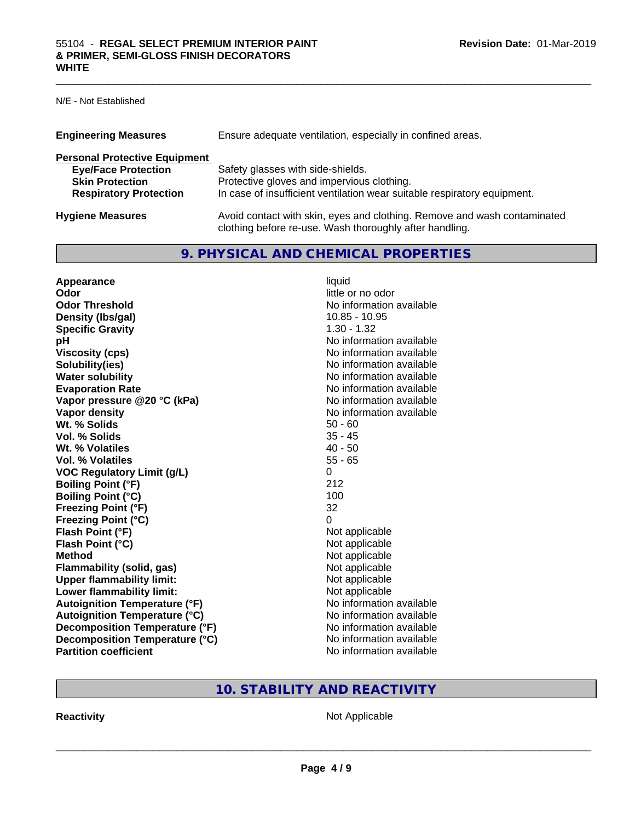N/E - Not Established

| <b>Engineering Measures</b>          | Ensure adequate ventilation, especially in confined areas.                                                                          |
|--------------------------------------|-------------------------------------------------------------------------------------------------------------------------------------|
| <b>Personal Protective Equipment</b> |                                                                                                                                     |
| <b>Eye/Face Protection</b>           | Safety glasses with side-shields.                                                                                                   |
| <b>Skin Protection</b>               | Protective gloves and impervious clothing.                                                                                          |
| <b>Respiratory Protection</b>        | In case of insufficient ventilation wear suitable respiratory equipment.                                                            |
| <b>Hygiene Measures</b>              | Avoid contact with skin, eyes and clothing. Remove and wash contaminated<br>clothing before re-use. Wash thoroughly after handling. |

# **9. PHYSICAL AND CHEMICAL PROPERTIES**

| Appearance                           | liquid                   |
|--------------------------------------|--------------------------|
| Odor                                 | little or no odor        |
| <b>Odor Threshold</b>                | No information available |
| Density (Ibs/gal)                    | 10.85 - 10.95            |
| <b>Specific Gravity</b>              | $1.30 - 1.32$            |
| рH                                   | No information available |
| <b>Viscosity (cps)</b>               | No information available |
| Solubility(ies)                      | No information available |
| <b>Water solubility</b>              | No information available |
| <b>Evaporation Rate</b>              | No information available |
| Vapor pressure @20 °C (kPa)          | No information available |
| <b>Vapor density</b>                 | No information available |
| Wt. % Solids                         | $50 - 60$                |
| Vol. % Solids                        | $35 - 45$                |
| Wt. % Volatiles                      | $40 - 50$                |
| Vol. % Volatiles                     | $55 - 65$                |
| <b>VOC Regulatory Limit (g/L)</b>    | 0                        |
| <b>Boiling Point (°F)</b>            | 212                      |
| <b>Boiling Point (°C)</b>            | 100                      |
| <b>Freezing Point (°F)</b>           | 32                       |
| <b>Freezing Point (°C)</b>           | 0                        |
| Flash Point (°F)                     | Not applicable           |
| Flash Point (°C)                     | Not applicable           |
| <b>Method</b>                        | Not applicable           |
| <b>Flammability (solid, gas)</b>     | Not applicable           |
| <b>Upper flammability limit:</b>     | Not applicable           |
| Lower flammability limit:            | Not applicable           |
| <b>Autoignition Temperature (°F)</b> | No information available |
| <b>Autoignition Temperature (°C)</b> | No information available |
| Decomposition Temperature (°F)       | No information available |
| Decomposition Temperature (°C)       | No information available |
| <b>Partition coefficient</b>         | No information available |

# **10. STABILITY AND REACTIVITY**

**Reactivity** Not Applicable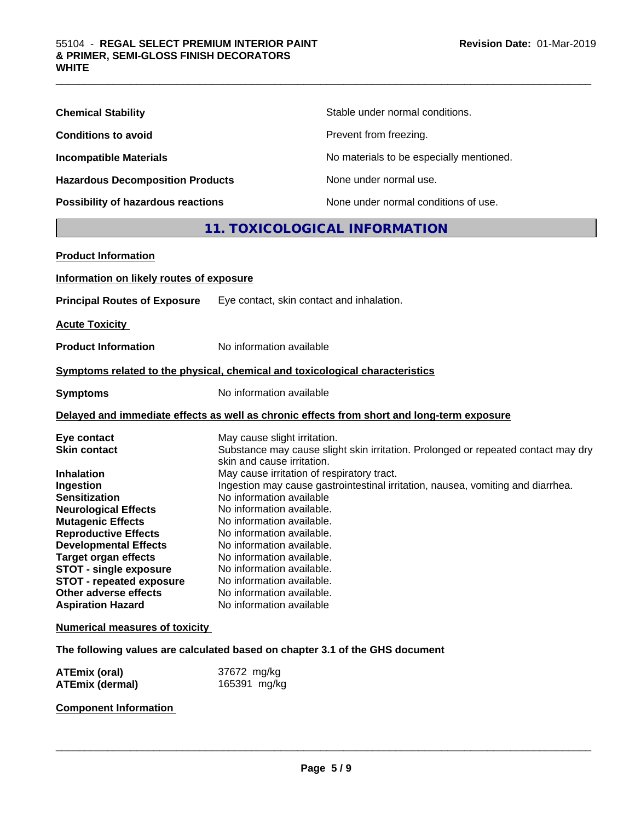| <b>Chemical Stability</b>               | Stable under normal conditions.          |
|-----------------------------------------|------------------------------------------|
| <b>Conditions to avoid</b>              | Prevent from freezing.                   |
| <b>Incompatible Materials</b>           | No materials to be especially mentioned. |
| <b>Hazardous Decomposition Products</b> | None under normal use.                   |
| Possibility of hazardous reactions      | None under normal conditions of use.     |

# **11. TOXICOLOGICAL INFORMATION**

| <b>Product Information</b>                                                                                                                                                                                                                                                                                                                                                     |                                                                                                                                                                                                                                                                                                                                                                                                                                                                                                                                                                                  |
|--------------------------------------------------------------------------------------------------------------------------------------------------------------------------------------------------------------------------------------------------------------------------------------------------------------------------------------------------------------------------------|----------------------------------------------------------------------------------------------------------------------------------------------------------------------------------------------------------------------------------------------------------------------------------------------------------------------------------------------------------------------------------------------------------------------------------------------------------------------------------------------------------------------------------------------------------------------------------|
| Information on likely routes of exposure                                                                                                                                                                                                                                                                                                                                       |                                                                                                                                                                                                                                                                                                                                                                                                                                                                                                                                                                                  |
| <b>Principal Routes of Exposure</b>                                                                                                                                                                                                                                                                                                                                            | Eye contact, skin contact and inhalation.                                                                                                                                                                                                                                                                                                                                                                                                                                                                                                                                        |
| <b>Acute Toxicity</b>                                                                                                                                                                                                                                                                                                                                                          |                                                                                                                                                                                                                                                                                                                                                                                                                                                                                                                                                                                  |
| <b>Product Information</b>                                                                                                                                                                                                                                                                                                                                                     | No information available                                                                                                                                                                                                                                                                                                                                                                                                                                                                                                                                                         |
|                                                                                                                                                                                                                                                                                                                                                                                | Symptoms related to the physical, chemical and toxicological characteristics                                                                                                                                                                                                                                                                                                                                                                                                                                                                                                     |
| <b>Symptoms</b>                                                                                                                                                                                                                                                                                                                                                                | No information available                                                                                                                                                                                                                                                                                                                                                                                                                                                                                                                                                         |
|                                                                                                                                                                                                                                                                                                                                                                                | Delayed and immediate effects as well as chronic effects from short and long-term exposure                                                                                                                                                                                                                                                                                                                                                                                                                                                                                       |
| Eye contact<br><b>Skin contact</b><br><b>Inhalation</b><br>Ingestion<br><b>Sensitization</b><br><b>Neurological Effects</b><br><b>Mutagenic Effects</b><br><b>Reproductive Effects</b><br><b>Developmental Effects</b><br><b>Target organ effects</b><br><b>STOT - single exposure</b><br><b>STOT - repeated exposure</b><br>Other adverse effects<br><b>Aspiration Hazard</b> | May cause slight irritation.<br>Substance may cause slight skin irritation. Prolonged or repeated contact may dry<br>skin and cause irritation.<br>May cause irritation of respiratory tract.<br>Ingestion may cause gastrointestinal irritation, nausea, vomiting and diarrhea.<br>No information available<br>No information available.<br>No information available.<br>No information available.<br>No information available.<br>No information available.<br>No information available.<br>No information available.<br>No information available.<br>No information available |
| <b>Numerical measures of toxicity</b>                                                                                                                                                                                                                                                                                                                                          |                                                                                                                                                                                                                                                                                                                                                                                                                                                                                                                                                                                  |
|                                                                                                                                                                                                                                                                                                                                                                                | The following values are calculated based on chapter 3.1 of the GHS document                                                                                                                                                                                                                                                                                                                                                                                                                                                                                                     |
| <b>ATEmix (oral)</b><br><b>ATEmix (dermal)</b>                                                                                                                                                                                                                                                                                                                                 | 37672 mg/kg<br>165391 mg/kg                                                                                                                                                                                                                                                                                                                                                                                                                                                                                                                                                      |

**Component Information**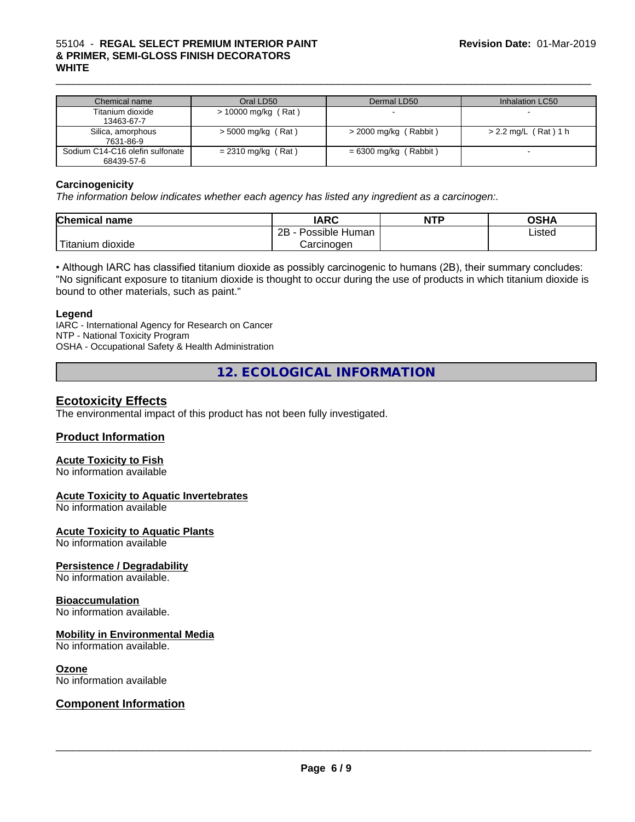| Chemical name                                 | Oral LD50            | Dermal LD50             | Inhalation LC50        |
|-----------------------------------------------|----------------------|-------------------------|------------------------|
| Titanium dioxide<br>13463-67-7                | > 10000 mg/kg (Rat)  |                         |                        |
| Silica, amorphous<br>7631-86-9                | $>$ 5000 mg/kg (Rat) | $>$ 2000 mg/kg (Rabbit) | $> 2.2$ mg/L (Rat) 1 h |
| Sodium C14-C16 olefin sulfonate<br>68439-57-6 | $= 2310$ mg/kg (Rat) | $= 6300$ mg/kg (Rabbit) |                        |

#### **Carcinogenicity**

*The information below indicateswhether each agency has listed any ingredient as a carcinogen:.*

| <b>Chemical</b><br>name                                                                                                                         | <b>IARC</b>                    | <b>NTP</b> | <b>OSHA</b> |  |
|-------------------------------------------------------------------------------------------------------------------------------------------------|--------------------------------|------------|-------------|--|
|                                                                                                                                                 | .<br>2B<br>Human -<br>Possible |            | Listed      |  |
| <b>The Contract of the Contract of the Contract of the Contract of the Contract of the Contract of the Contract o</b><br>n dioxide<br>l itanium | Carcinogen                     |            |             |  |

• Although IARC has classified titanium dioxide as possibly carcinogenic to humans (2B), their summary concludes: "No significant exposure to titanium dioxide is thought to occur during the use of products in which titanium dioxide is bound to other materials, such as paint."

#### **Legend**

IARC - International Agency for Research on Cancer NTP - National Toxicity Program OSHA - Occupational Safety & Health Administration

**12. ECOLOGICAL INFORMATION**

### **Ecotoxicity Effects**

The environmental impact of this product has not been fully investigated.

#### **Product Information**

#### **Acute Toxicity to Fish**

No information available

#### **Acute Toxicity to Aquatic Invertebrates**

No information available

#### **Acute Toxicity to Aquatic Plants**

No information available

#### **Persistence / Degradability**

No information available.

#### **Bioaccumulation**

No information available.

#### **Mobility in Environmental Media**

No information available.

#### **Ozone**

No information available

#### **Component Information**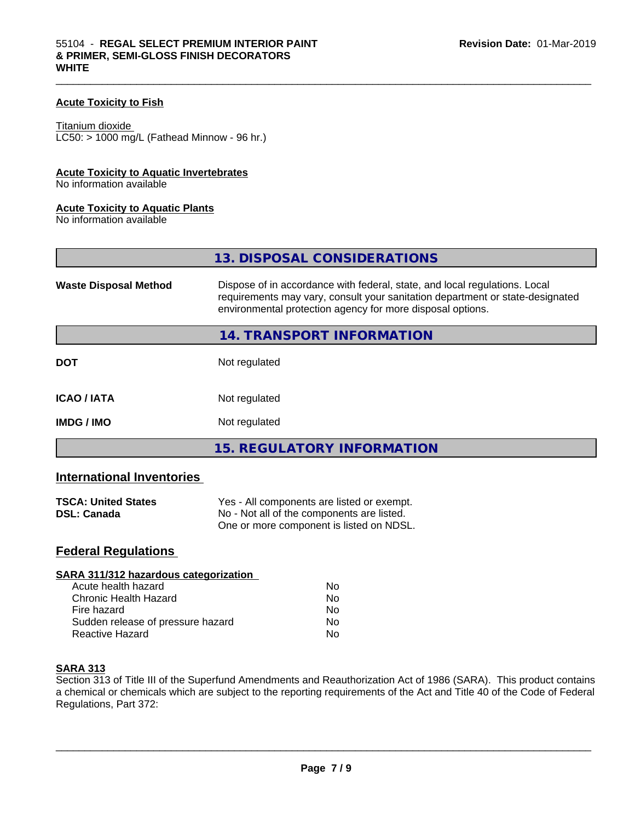#### **Acute Toxicity to Fish**

Titanium dioxide  $LC50:$  > 1000 mg/L (Fathead Minnow - 96 hr.)

#### **Acute Toxicity to Aquatic Invertebrates**

No information available

#### **Acute Toxicity to Aquatic Plants**

No information available

|                              | 13. DISPOSAL CONSIDERATIONS                                                                                                                                                                                               |
|------------------------------|---------------------------------------------------------------------------------------------------------------------------------------------------------------------------------------------------------------------------|
| <b>Waste Disposal Method</b> | Dispose of in accordance with federal, state, and local regulations. Local<br>requirements may vary, consult your sanitation department or state-designated<br>environmental protection agency for more disposal options. |
|                              | 14. TRANSPORT INFORMATION                                                                                                                                                                                                 |
| <b>DOT</b>                   | Not regulated                                                                                                                                                                                                             |
| <b>ICAO / IATA</b>           | Not regulated                                                                                                                                                                                                             |
| <b>IMDG / IMO</b>            | Not regulated                                                                                                                                                                                                             |
|                              | <b>15. REGULATORY INFORMATION</b>                                                                                                                                                                                         |

 $\_$  ,  $\_$  ,  $\_$  ,  $\_$  ,  $\_$  ,  $\_$  ,  $\_$  ,  $\_$  ,  $\_$  ,  $\_$  ,  $\_$  ,  $\_$  ,  $\_$  ,  $\_$  ,  $\_$  ,  $\_$  ,  $\_$  ,  $\_$  ,  $\_$  ,  $\_$  ,  $\_$  ,  $\_$  ,  $\_$  ,  $\_$  ,  $\_$  ,  $\_$  ,  $\_$  ,  $\_$  ,  $\_$  ,  $\_$  ,  $\_$  ,  $\_$  ,  $\_$  ,  $\_$  ,  $\_$  ,  $\_$  ,  $\_$  ,

#### **International Inventories**

| <b>TSCA: United States</b> | Yes - All components are listed or exempt. |
|----------------------------|--------------------------------------------|
| <b>DSL: Canada</b>         | No - Not all of the components are listed. |
|                            | One or more component is listed on NDSL.   |

### **Federal Regulations**

| Nο |  |
|----|--|
| No |  |
| No |  |
| No |  |
| Nο |  |
|    |  |

#### **SARA 313**

Section 313 of Title III of the Superfund Amendments and Reauthorization Act of 1986 (SARA). This product contains a chemical or chemicals which are subject to the reporting requirements of the Act and Title 40 of the Code of Federal Regulations, Part 372: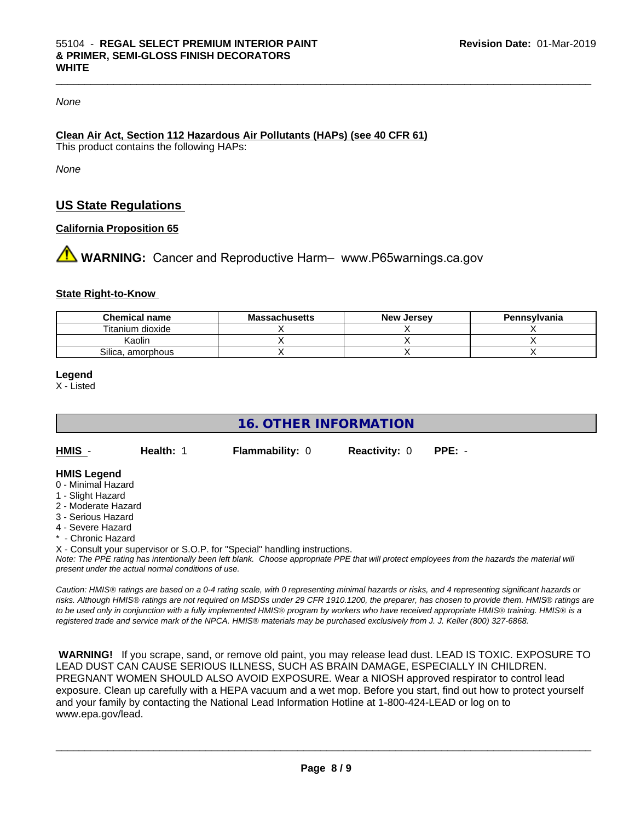#### *None*

# **Clean Air Act,Section 112 Hazardous Air Pollutants (HAPs) (see 40 CFR 61)**

This product contains the following HAPs:

*None*

# **US State Regulations**

#### **California Proposition 65**

**A** WARNING: Cancer and Reproductive Harm– www.P65warnings.ca.gov

#### **State Right-to-Know**

| <b>Chemical name</b> | <b>Massachusetts</b> | <b>New Jersey</b> | Pennsylvania |
|----------------------|----------------------|-------------------|--------------|
| Titanium dioxide     |                      |                   |              |
| Kaolin               |                      |                   |              |
| Silica, amorphous    |                      |                   |              |

#### **Legend**

X - Listed

# **16. OTHER INFORMATION**

| HMIS | <b>Health: 1</b> | <b>Flammability: 0</b> | <b>Reactivity: 0</b> | PPE: - |
|------|------------------|------------------------|----------------------|--------|
|      |                  |                        |                      |        |

#### **HMIS Legend**

- 0 Minimal Hazard
- 1 Slight Hazard
- 2 Moderate Hazard
- 3 Serious Hazard
- 4 Severe Hazard
- \* Chronic Hazard
- X Consult your supervisor or S.O.P. for "Special" handling instructions.

*Note: The PPE rating has intentionally been left blank. Choose appropriate PPE that will protect employees from the hazards the material will present under the actual normal conditions of use.*

*Caution: HMISÒ ratings are based on a 0-4 rating scale, with 0 representing minimal hazards or risks, and 4 representing significant hazards or risks. Although HMISÒ ratings are not required on MSDSs under 29 CFR 1910.1200, the preparer, has chosen to provide them. HMISÒ ratings are to be used only in conjunction with a fully implemented HMISÒ program by workers who have received appropriate HMISÒ training. HMISÒ is a registered trade and service mark of the NPCA. HMISÒ materials may be purchased exclusively from J. J. Keller (800) 327-6868.*

 **WARNING!** If you scrape, sand, or remove old paint, you may release lead dust. LEAD IS TOXIC. EXPOSURE TO LEAD DUST CAN CAUSE SERIOUS ILLNESS, SUCH AS BRAIN DAMAGE, ESPECIALLY IN CHILDREN. PREGNANT WOMEN SHOULD ALSO AVOID EXPOSURE.Wear a NIOSH approved respirator to control lead exposure. Clean up carefully with a HEPA vacuum and a wet mop. Before you start, find out how to protect yourself and your family by contacting the National Lead Information Hotline at 1-800-424-LEAD or log on to www.epa.gov/lead.